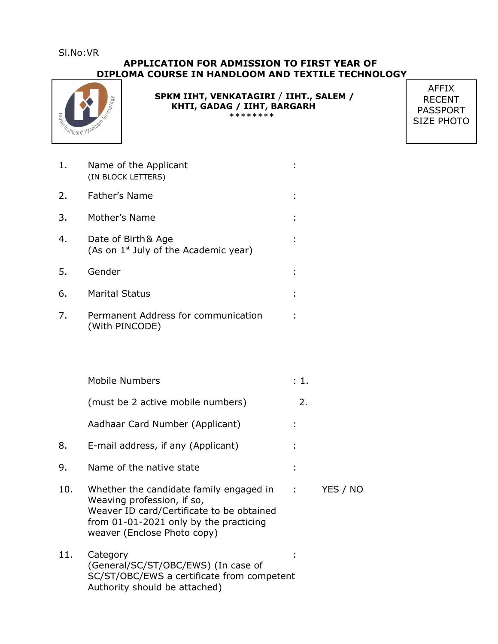Sl.No:VR

### **APPLICATION FOR ADMISSION TO FIRST YEAR OF DIPLOMA COURSE IN HANDLOOM AND TEXTILE TECHNOLOGY**



 **SPKM IIHT, VENKATAGIRI** / **IIHT., SALEM / KHTI, GADAG / IIHT, BARGARH** \*\*\*\*\*\*\*\*

AFFIX RECENT PASSPORT SIZE PHOTO

| 1. | Name of the Applicant<br>(IN BLOCK LETTERS) |  |
|----|---------------------------------------------|--|
|    | 2. Father's Name                            |  |
|    | 3. Mother's Name                            |  |

- 4. Date of Birth& Age : (As on  $1^{st}$  July of the Academic year)
- 5. Gender :
- 6. Marital Status :
- 7. Permanent Address for communication : (With PINCODE)
- Mobile Numbers : 1. (must be 2 active mobile numbers) 2. Aadhaar Card Number (Applicant) : 8. E-mail address, if any (Applicant) :
- 9. Name of the native state :
- 10. Whether the candidate family engaged in : YES / NO Weaving profession, if so, Weaver ID card/Certificate to be obtained from 01-01-2021 only by the practicing weaver (Enclose Photo copy)
- 11. Category : (General/SC/ST/OBC/EWS) (In case of SC/ST/OBC/EWS a certificate from competent Authority should be attached)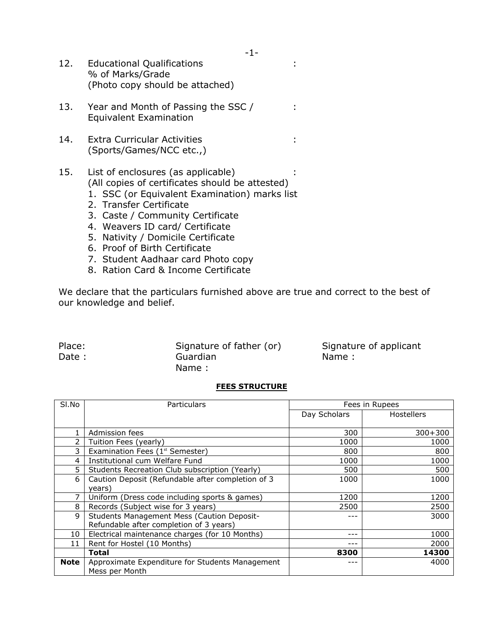| 12. | <b>Educational Qualifications</b> |  |
|-----|-----------------------------------|--|
|     | % of Marks/Grade                  |  |
|     | (Photo copy should be attached)   |  |

- 13. Year and Month of Passing the SSC / : Equivalent Examination
- 14. Extra Curricular Activities : (Sports/Games/NCC etc.,)

#### 15. List of enclosures (as applicable) : (All copies of certificates should be attested)

- 1. SSC (or Equivalent Examination) marks list
- 2. Transfer Certificate
- 3. Caste / Community Certificate
- 4. Weavers ID card/ Certificate
- 5. Nativity / Domicile Certificate
- 6. Proof of Birth Certificate
- 7. Student Aadhaar card Photo copy
- 8. Ration Card & Income Certificate

We declare that the particulars furnished above are true and correct to the best of our knowledge and belief.

Place: Signature of father (or) Signature of applicant Date : Cuardian Counter State : Name : Name : Name : Name : Name : Name : Name : Name : Name : Name : Name : Name :  $\sim$  Name :  $\sim$  Name :  $\sim$  Name :  $\sim$  Name :  $\sim$  Name :  $\sim$  Name :  $\sim$  Name :  $\sim$  Name :  $\sim$  Name Name :

#### **FEES STRUCTURE**

| SI.No       | Particulars                                       | Fees in Rupees |                   |
|-------------|---------------------------------------------------|----------------|-------------------|
|             |                                                   | Day Scholars   | <b>Hostellers</b> |
|             | Admission fees                                    | 300            | $300 + 300$       |
|             | Tuition Fees (yearly)                             | 1000           | 1000              |
| 3           | Examination Fees (1 <sup>st</sup> Semester)       | 800            | 800               |
| 4           | Institutional cum Welfare Fund                    | 1000           | 1000              |
| 5           | Students Recreation Club subscription (Yearly)    | 500            | 500               |
| 6           | Caution Deposit (Refundable after completion of 3 | 1000           | 1000              |
|             | years)                                            |                |                   |
|             | Uniform (Dress code including sports & games)     | 1200           | 1200              |
| 8           | Records (Subject wise for 3 years)                | 2500           | 2500              |
| 9           | <b>Students Management Mess (Caution Deposit-</b> | ---            | 3000              |
|             | Refundable after completion of 3 years)           |                |                   |
| 10          | Electrical maintenance charges (for 10 Months)    | ---            | 1000              |
| 11          | Rent for Hostel (10 Months)                       | $---$          | 2000              |
|             | <b>Total</b>                                      | 8300           | 14300             |
| <b>Note</b> | Approximate Expenditure for Students Management   | ---            | 4000              |
|             | Mess per Month                                    |                |                   |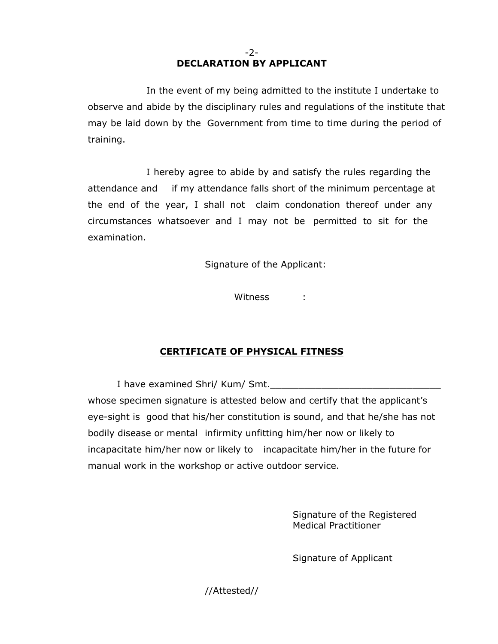### -2- **DECLARATION BY APPLICANT**

In the event of my being admitted to the institute I undertake to observe and abide by the disciplinary rules and regulations of the institute that may be laid down by the Government from time to time during the period of training.

I hereby agree to abide by and satisfy the rules regarding the attendance and if my attendance falls short of the minimum percentage at the end of the year, I shall not claim condonation thereof under any circumstances whatsoever and I may not be permitted to sit for the examination.

Signature of the Applicant:

Witness :

# **CERTIFICATE OF PHYSICAL FITNESS**

I have examined Shri/ Kum/ Smt. whose specimen signature is attested below and certify that the applicant's eye-sight is good that his/her constitution is sound, and that he/she has not bodily disease or mental infirmity unfitting him/her now or likely to incapacitate him/her now or likely to incapacitate him/her in the future for manual work in the workshop or active outdoor service.

> Signature of the Registered Medical Practitioner

Signature of Applicant

//Attested//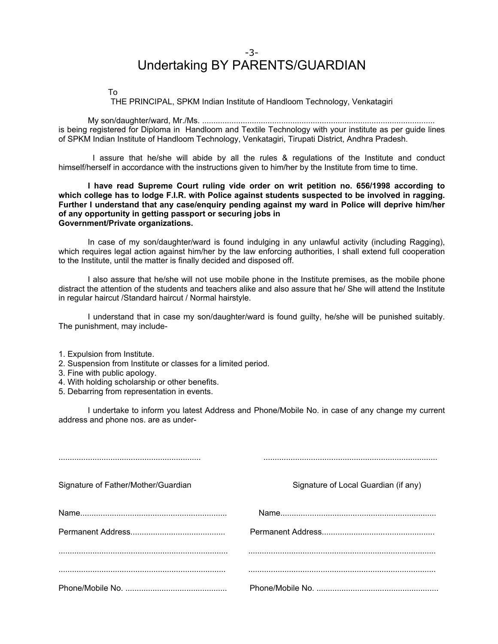## -3- Undertaking BY PARENTS/GUARDIAN

To

THE PRINCIPAL, SPKM Indian Institute of Handloom Technology, Venkatagiri

My son/daughter/ward, Mr./Ms. ....................................................................................................... is being registered for Diploma in Handloom and Textile Technology with your institute as per guide lines of SPKM Indian Institute of Handloom Technology, Venkatagiri, Tirupati District, Andhra Pradesh.

I assure that he/she will abide by all the rules & regulations of the Institute and conduct himself/herself in accordance with the instructions given to him/her by the Institute from time to time.

**I have read Supreme Court ruling vide order on writ petition no. 656/1998 according to which college has to lodge F.I.R. with Police against students suspected to be involved in ragging. Further I understand that any case/enquiry pending against my ward in Police will deprive him/her of any opportunity in getting passport or securing jobs in Government/Private organizations.**

In case of my son/daughter/ward is found indulging in any unlawful activity (including Ragging), which requires legal action against him/her by the law enforcing authorities, I shall extend full cooperation to the Institute, until the matter is finally decided and disposed off.

I also assure that he/she will not use mobile phone in the Institute premises, as the mobile phone distract the attention of the students and teachers alike and also assure that he/ She will attend the Institute in regular haircut /Standard haircut / Normal hairstyle.

I understand that in case my son/daughter/ward is found guilty, he/she will be punished suitably. The punishment, may include-

- 1. Expulsion from Institute.
- 2. Suspension from Institute or classes for a limited period.
- 3. Fine with public apology.
- 4. With holding scholarship or other benefits.
- 5. Debarring from representation in events.

I undertake to inform you latest Address and Phone/Mobile No. in case of any change my current address and phone nos. are as under-

| Signature of Father/Mother/Guardian | Signature of Local Guardian (if any) |
|-------------------------------------|--------------------------------------|
|                                     |                                      |
|                                     |                                      |
|                                     |                                      |
|                                     |                                      |
|                                     |                                      |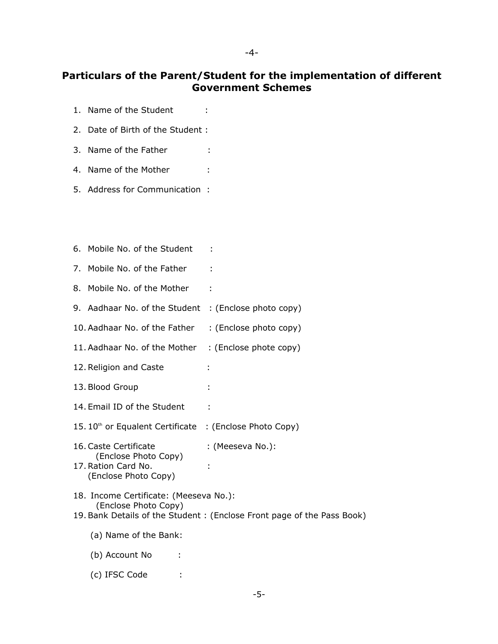#### -4-

# **Particulars of the Parent/Student for the implementation of different Government Schemes**

- 1. Name of the Student :
- 2. Date of Birth of the Student :
- 3. Name of the Father :
- 4. Name of the Mother :
- 5. Address for Communication :

| 6. Mobile No. of the Student                                                                 |                                                                        |
|----------------------------------------------------------------------------------------------|------------------------------------------------------------------------|
| 7. Mobile No. of the Father                                                                  |                                                                        |
| 8. Mobile No. of the Mother                                                                  |                                                                        |
| 9. Aadhaar No. of the Student                                                                | : (Enclose photo copy)                                                 |
| 10. Aadhaar No. of the Father                                                                | : (Enclose photo copy)                                                 |
| 11. Aadhaar No. of the Mother                                                                | : (Enclose phote copy)                                                 |
| 12. Religion and Caste                                                                       |                                                                        |
| 13. Blood Group                                                                              |                                                                        |
| 14. Email ID of the Student                                                                  |                                                                        |
| 15. 10 <sup>th</sup> or Equalent Certificate : (Enclose Photo Copy)                          |                                                                        |
| 16. Caste Certificate<br>(Enclose Photo Copy)<br>17. Ration Card No.<br>(Enclose Photo Copy) | : (Meeseva No.):                                                       |
| 18. Income Certificate: (Meeseva No.):<br>(Enclose Photo Copy)                               | 19. Bank Details of the Student: (Enclose Front page of the Pass Book) |
| (a) Name of the Bank:                                                                        |                                                                        |
| (b) Account No                                                                               |                                                                        |
| (c) IFSC Code                                                                                |                                                                        |